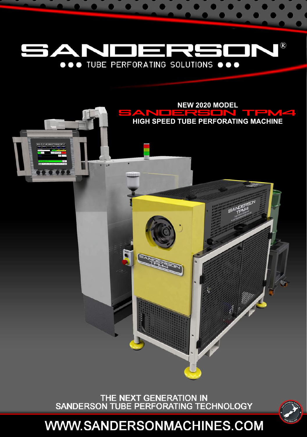



THE NEXT GENERATION IN<br>SANDERSON TUBE PERFORATING TECHNOLOGY



**WWW.SANDERSONMACHINES.COM**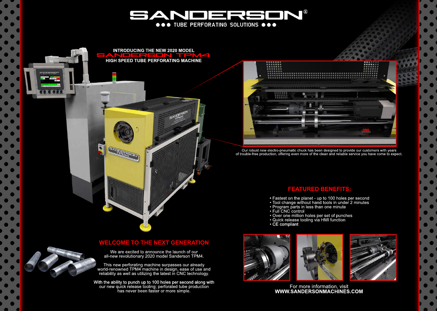

**INTRODUCING THE NEW 2020 MODEL** SANOERSON TPM4 **HIGHSPEEDTUBEPERFORATINGMACHINE**

 $+ 0$ 

EANDERS



Our robust new electro-pneumatic chuck has been designed to provide our customers with years of trouble-free production, offering even more of the clean and reliable service you have come to expect.

## **FEATURED BENEFITS:**

- 
- 
- Program parts in less than one minute
- 
- Full CNC control<br>• Over one million holes per set of punches
- Quick release tooling via HMI function<br>• CE compliant
- 

## **WELCOME TO THE NEXT GENERATION**

We are excited to announce the launch of our all-new revolutionary 2020 model Sanderson TPM4.

This new perforating machine surpasses our already world-renowned TPM4 machine in design, ease of use and reliability as well as utilizing the latest in CNC technology.

With the ability to punch up to 100 holes per second along with our new quick release tooling; perforated tube production has never been faster or more simple.





For more information, visit **WWW.SANDERSONMACHINES.COM**

• Fastest on the planet - up to 100 holes per second<br>• Tool change without hand tools in under 2 minutes